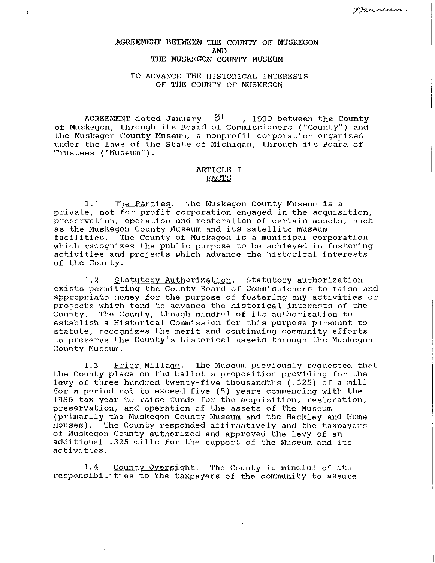# AGREEMENT BETWEEN THE COUNTY OF MUSKEGON AND THE MUSKEGON COUNTY MUSEUM

J.

#### TO ADVANCE THE HISTORICAL INTERESTS OF THE COUNTY OF MUSKEGON

AGREEMENT dated January  $3!$  , 1990 between the County of Muskegon, through its Board of Commissioners ("County") and the Muskegon County Museum, a nonprofit corporation organized under the laws of the State of Michigan, through its Board of Trustees ("Museum").

# ARTICLE I FACTS

1.1 The-Parties. The Muskegon County Museum is a private, not for profit corporation engaged in the acquisition, preservation, operation and restoration of certain assets, such as the Muskegon County Museum and its satellite museum<br>facilities. The County of Muskegon is a municipal corp The County of Muskegon is a municipal corporation which recognizes the public purpose to be achieved in fostering activities and projects which advance the historical interests of the County.

1.2 Statutory Authorization. Statutory authorization exists permitting the County Board of Commissioners to raise and appropriate money for the purpose of fostering any activities or projects which tend to advance the historical interests of the County. The County, though mindful of its authorization to The County, though mindful of its authorization to establish a Historical Commission for this purpose pursuant to statute, recognizes the merit and continuing community efforts to preserve the County's historical assets through the Muskegon County Museum.

1.3 Prior Millage. The Museum previously requested that the County place on the ballot a proposition providing for the levy of three hundred twenty-five thousandths ( .325) of a mill for a period not to exceed five (5) years commencing with the 1986 tax year to raise funds for the acquisition, restoration, preservation, and operation of the assets of the Museum (primarily the Muskegon County Museum and the Hackley and Hume<br>Houses). The County responded affirmatively and the taxpayers The County responded affirmatively and the taxpayers of Muskegon County authorized and approved the levy of an additional .325 mills for the support of the Museum and its activities.

1.4 County Oversight. The County is mindful of its responsibilities to the taxpayers of the community to assure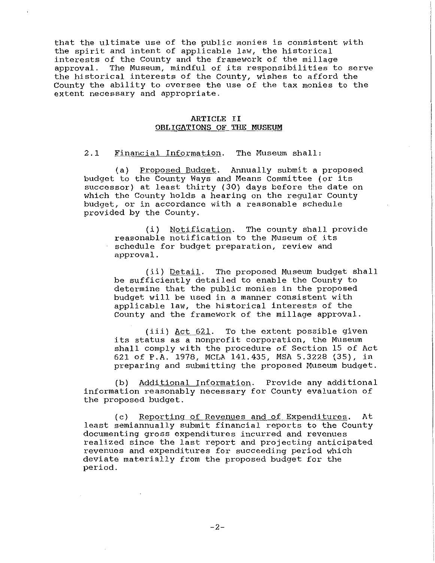that the ultimate use of the public monies is consistent with the spirit and intent of applicable law, the historical interests of the County and the framework of the millage<br>approval. The Museum, mindful of its responsibilities to The Museum, mindful of its responsibilities to serve the historical interests of the County, wishes to afford the County the ability to oversee the use of the tax monies to the extent necessary and appropriate.

#### **ARTICLE II OBLIGATIONS OF THE MUSEUM**

2.1 Financial Information. The Museum shall:

(a) Proposed Budget. Annually submit a proposed budget to the County Ways and Means Committee (or its successor) at least thirty (30) days before the date on which the County holds a hearing on the regular County budget, or in accordance with a reasonable schedule provided by the County.

> (i) Notification. The county shall provide reasonable notification to the Museum of its schedule for budget preparation, review and approval.

(ii) Detail. The proposed Museum budget shall be sufficiently detailed to enable the County to determine that the public monies in the proposed budget will be used in a manner consistent with applicable law, the historical interests of the County and the framework of the millage approval.

(iii) Act 621. To the extent possible given its status as a nonprofit corporation, the Museum shall comply with the procedure of Section 15 of Act 621 of P.A. 1978, MCLA 141.435, MSA 5.3228 (35), in preparing and submitting the proposed Museum budget.

(b) Additional Information. Provide any additional information reasonably necessary for County evaluation of the proposed budget.

(c) Reporting of Revenues and of Expenditures. At least semiannually submit financial reports to the County documenting gross expenditures incurred and revenues realized since the last report and projecting anticipated revenues and expenditures for succeeding period which deviate materially from the proposed budget for the period.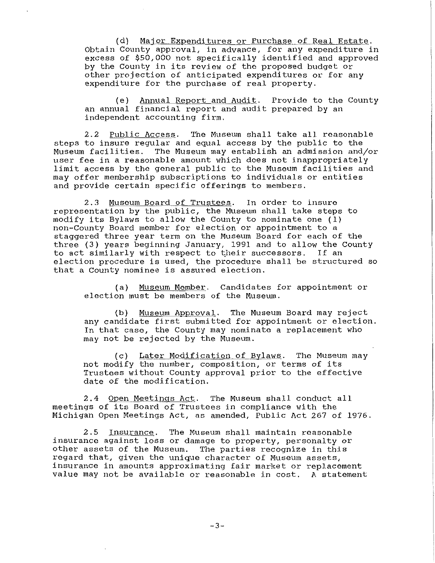(d) Major Expenditures or Purchase of Real Estate. Obtain County approval, in advance, for any expenditure in excess of \$50,000 not specifically identified and approved by the County in its review of the proposed budget or other projection of anticipated expenditures or for any expenditure for the purchase of real property.

(e) Annual Report and Audit. Provide to the County an annual financial report and audit prepared by an independent accounting firm.

2.2 Public Access. The Museum shall take all reasonable steps to insure regular and equal access by the public to the<br>Museum facilities. The Museum may establish an admission and The Museum may establish an admission and/or user fee in a reasonable amount which does not inappropriately limit access by the general public to the Museum facilities and may offer membership subscriptions to individuals or entities and provide certain specific offerings to members.

2.3 Museum Board of Trustees. In order to insure representation by the public, the Museum shall take steps to modify its Bylaws to allow the County to nominate one (l) non-County Board member for election or appointment to a staggered three year term on the Museum Board for each of the three (3) years beginning January, 1991 and to allow the County to act similarly with respect to their successors. If an election procedure is used, the procedure shall be structured so that a County nominee is assured election.

(a) Museum Member. Candidates for appointment or election must be members of the Museum.

(b) Museum Approval. The Museum Board may reject any candidate first submitted for appointment or election. In that case, the County may nominate a replacement who may not be rejected by the Museum.

(c) Later Modification of Bylaws. The Museum may not modify the number, composition, or terms of its Trustees without County approval prior to the effective date of the modification.

2.4 Open Meetinqs Act. The Museum shall conduct all meetings of its Board of Trustees in compliance with the Michigan Open Meetings Act, as amended, Public Act 267 of 1976.

2.5 Insurance. The Museum shall maintain reasonable insurance against loss or damage to property, personalty or other assets of the Museum. The parties recognize in this regard that, given the unique character of Museum assets, insurance in amounts approximating fair market or replacement value may not be available or reasonable in cost. A statement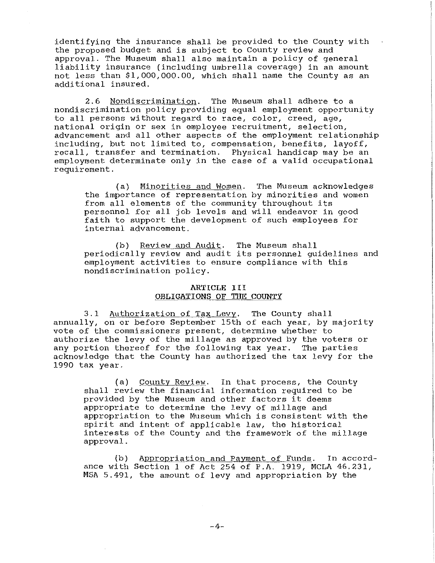identifying the insurance shall be provided to the County with the proposed budget and is subject to County review and approval. The Museum shall also maintain a policy of general liability insurance (including umbrella coverage) in an amount not less than \$1,000,000.00, which shall name the County as an additional insured.

2.6 Nondiscrimination. The Museum shall adhere to a nondiscrimination policy providing equal employment opportunity to all persons without regard to race, color, creed, age, national origin or sex in employee recruitment, selection, advancement and all other aspects of the employment relationship including, but not limited to, compensation, benefits, layoff, recall, transfer and termination. Physical handicap may be an employment determinate only in the case of a valid occupational requirement.

(a) Minorities and Women. The Museum acknowledges the importance of representation by minorities and women from all elements of the community throughout its personnel for all job levels and will endeavor in good faith to support the development of such employees for internal advancement.

(b) Review and Audit. The Museum shall periodically review and audit its personnel guidelines and employment activities to ensure compliance with this nondiscrimination policy.

### ARTICLE III OBLIGATIONS QF THE COUNTY

3.1 Authorization of Tax Levy. The County shall annually, on or before September 15th of each year, by majority vote of the commissioners present, determine whether to authorize the levy of the millage as approved by the voters or any portion thereof for the following tax year. The parties acknowledge that the County has authorized the tax levy for the 1990 tax year.

(a) County Review. In that process, the County shall review the financial information required to be provided by the Museum and other factors it deems appropriate to determine the levy of millage and appropriation to the Museum which is consistent with the spirit and intent of applicable law, the historical interests of the County and the framework of the millage approval.

(b) Appropriation and Payment of Funds. In accordance with Section 1 of Act 254 of P.A. 1919, MCLA 46.231, MSA 5.491, the amount of levy and appropriation by the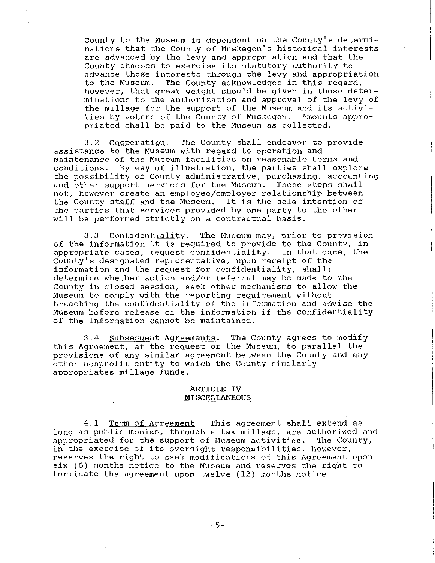County to the Museum is dependent on the County's determinations that the County of Muskegon's historical interests are advanced by the levy and appropriation and that the County chooses to exercise its statutory authority to advance those interests through the levy and appropriation to the Museum. The County acknowledges in this regard, however, that great weight should be given in those determinations to the authorization and approval of the levy of the millage for the support of the Museum and its activities by voters of the County of Muskegon. Amounts appropriated shall be paid to the Museum as collected.

3.2 Cooperation. The County shall endeavor to provide assistance to the Museum with regard to operation and maintenance of the Museum facilities on reasonable terms and conditions. By way of illustration, the parties shall explore the possibility of County administrative, purchasing, accounting and other support services for the Museum. These steps shall not, however create an employee/employer relationship between the County staff and the Museum. It is the sole intention of the parties that services provided by one party to the other will be performed strictly on a contractual basis.

3.3 Confidentiality. The Museum may, prior to provision of the information it is required to provide to the County, in appropriate cases, request confidentiality. In that case, the County's designated representative, upon receipt of the information and the request for confidentiality, shall: determine whether action and/or referral may be made to the County in closed session, seek other mechanisms to allow the Museum to comply with the reporting requirement without breaching the confidentiality of the information and advise the Museum before release of the information if the confidentiality of the information cannot be maintained.

3.4 Subsequent Agreements. The County agrees to modify this Agreement, at the request of the Museum, to parallel the provisions of any similar agreement between the County and any other nonprofit entity to which the County similarly appropriates millage funds.

#### **ARTICLE IV MISCELLANEOUS**

4.1 Term of Agreement. This agreement shall extend as long as public monies, through a tax millage, are authorized and<br>appropriated for the support of Museum activities. The County, appropriated for the support of Museum activities. in the exercise of its oversight responsibilities, however, reserves the right to seek modifications of this Agreement upon six (6) months notice to the Museum and reserves the right to terminate the agreement upon twelve (12) months notice.